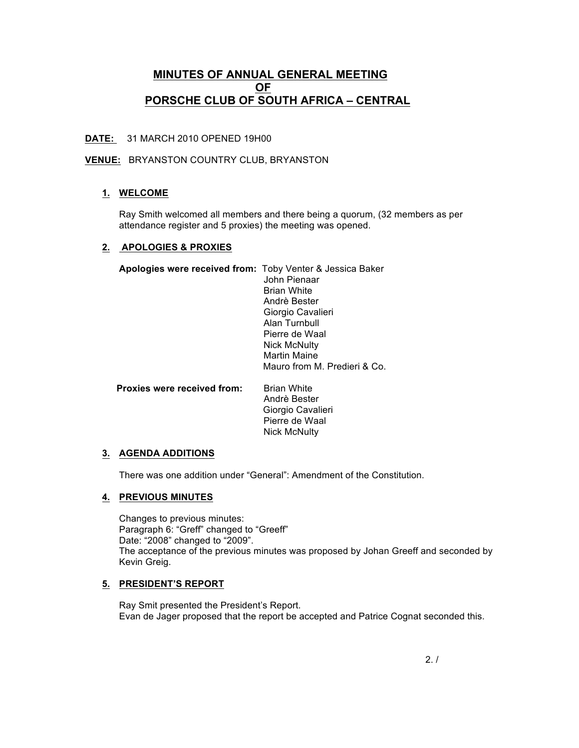# **MINUTES OF ANNUAL GENERAL MEETING OF PORSCHE CLUB OF SOUTH AFRICA – CENTRAL**

## **DATE:** 31 MARCH 2010 OPENED 19H00

### **VENUE:** BRYANSTON COUNTRY CLUB, BRYANSTON

## **1. WELCOME**

Ray Smith welcomed all members and there being a quorum, (32 members as per attendance register and 5 proxies) the meeting was opened.

#### **2. APOLOGIES & PROXIES**

| Apologies were received from: Toby Venter & Jessica Baker |                              |
|-----------------------------------------------------------|------------------------------|
|                                                           | John Pienaar                 |
|                                                           | <b>Brian White</b>           |
|                                                           | Andrè Bester                 |
|                                                           | Giorgio Cavalieri            |
|                                                           | Alan Turnbull                |
|                                                           | Pierre de Waal               |
|                                                           | <b>Nick McNulty</b>          |
|                                                           | <b>Martin Maine</b>          |
|                                                           | Mauro from M. Predieri & Co. |
|                                                           |                              |
|                                                           |                              |

| <b>Proxies were received from:</b> | <b>Brian White</b>  |
|------------------------------------|---------------------|
|                                    | Andrè Bester        |
|                                    | Giorgio Cavalieri   |
|                                    | Pierre de Waal      |
|                                    | <b>Nick McNulty</b> |
|                                    |                     |

#### **3. AGENDA ADDITIONS**

There was one addition under "General": Amendment of the Constitution.

## **4. PREVIOUS MINUTES**

Changes to previous minutes: Paragraph 6: "Greff" changed to "Greeff" Date: "2008" changed to "2009". The acceptance of the previous minutes was proposed by Johan Greeff and seconded by Kevin Greig.

#### **5. PRESIDENT'S REPORT**

Ray Smit presented the President's Report. Evan de Jager proposed that the report be accepted and Patrice Cognat seconded this.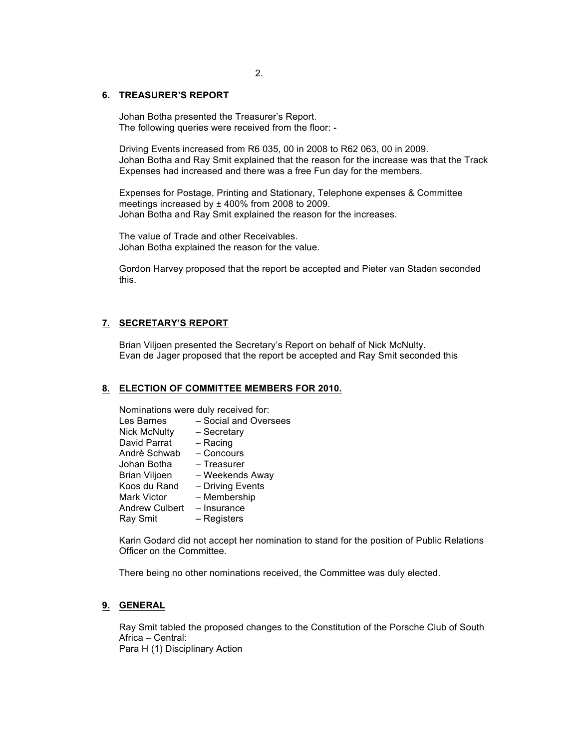# 2.

#### **6. TREASURER'S REPORT**

Johan Botha presented the Treasurer's Report. The following queries were received from the floor: -

Driving Events increased from R6 035, 00 in 2008 to R62 063, 00 in 2009. Johan Botha and Ray Smit explained that the reason for the increase was that the Track Expenses had increased and there was a free Fun day for the members.

Expenses for Postage, Printing and Stationary, Telephone expenses & Committee meetings increased by ± 400% from 2008 to 2009. Johan Botha and Ray Smit explained the reason for the increases.

The value of Trade and other Receivables. Johan Botha explained the reason for the value.

Gordon Harvey proposed that the report be accepted and Pieter van Staden seconded this.

#### **7. SECRETARY'S REPORT**

Brian Viljoen presented the Secretary's Report on behalf of Nick McNulty. Evan de Jager proposed that the report be accepted and Ray Smit seconded this

#### **8. ELECTION OF COMMITTEE MEMBERS FOR 2010.**

Nominations were duly received for:

| Les Barnes            | - Social and Oversees |
|-----------------------|-----------------------|
| <b>Nick McNulty</b>   | - Secretary           |
| David Parrat          | $-$ Racing            |
| Andrè Schwab          | - Concours            |
| Johan Botha           | - Treasurer           |
| <b>Brian Viljoen</b>  | - Weekends Away       |
| Koos du Rand          | - Driving Events      |
| <b>Mark Victor</b>    | - Membership          |
| <b>Andrew Culbert</b> | - Insurance           |
| Ray Smit              | – Registers           |

Karin Godard did not accept her nomination to stand for the position of Public Relations Officer on the Committee.

There being no other nominations received, the Committee was duly elected.

# **9. GENERAL**

Ray Smit tabled the proposed changes to the Constitution of the Porsche Club of South Africa – Central: Para H (1) Disciplinary Action